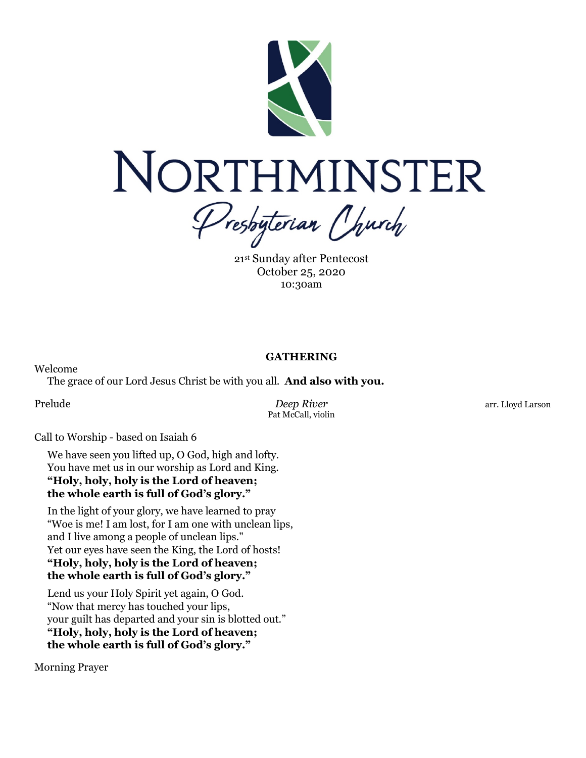

21st Sunday after Pentecost October 25, 2020 10:30am

# **GATHERING**

The grace of our Lord Jesus Christ be with you all. **And also with you.**

Welcome

Prelude *Deep River* arr. Lloyd Larson Pat McCall, violin

Call to Worship - based on Isaiah 6

We have seen you lifted up, O God, high and lofty. You have met us in our worship as Lord and King. **"Holy, holy, holy is the Lord of heaven; the whole earth is full of God's glory."**

In the light of your glory, we have learned to pray "Woe is me! I am lost, for I am one with unclean lips, and I live among a people of unclean lips." Yet our eyes have seen the King, the Lord of hosts! **"Holy, holy, holy is the Lord of heaven; the whole earth is full of God's glory."**

Lend us your Holy Spirit yet again, O God. "Now that mercy has touched your lips, your guilt has departed and your sin is blotted out." **"Holy, holy, holy is the Lord of heaven; the whole earth is full of God's glory."**

Morning Prayer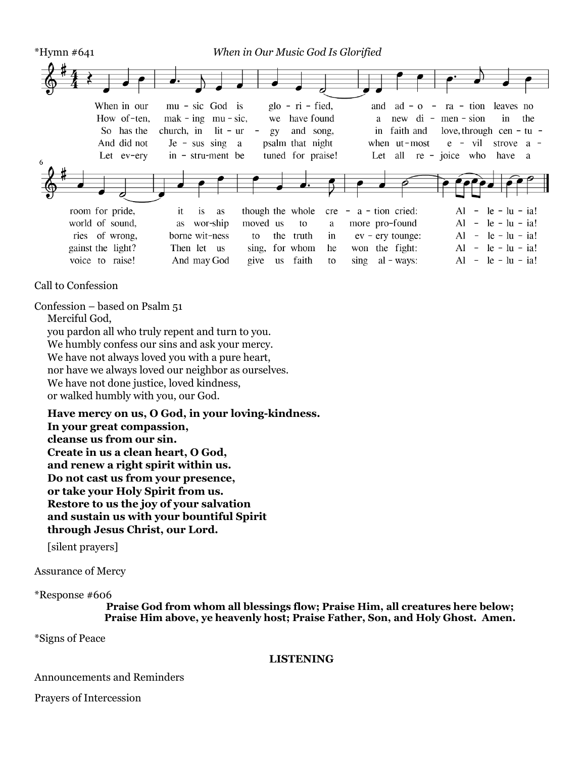

Call to Confession

Confession – based on Psalm 51

Merciful God,

you pardon all who truly repent and turn to you. We humbly confess our sins and ask your mercy. We have not always loved you with a pure heart, nor have we always loved our neighbor as ourselves. We have not done justice, loved kindness, or walked humbly with you, our God.

**Have mercy on us, O God, in your loving-kindness. In your great compassion, cleanse us from our sin. Create in us a clean heart, O God, and renew a right spirit within us. Do not cast us from your presence, or take your Holy Spirit from us. Restore to us the joy of your salvation and sustain us with your bountiful Spirit through Jesus Christ, our Lord.**

[silent prayers]

Assurance of Mercy

\*Response #606

**Praise God from whom all blessings flow; Praise Him, all creatures here below; Praise Him above, ye heavenly host; Praise Father, Son, and Holy Ghost. Amen.**

\*Signs of Peace

#### **LISTENING**

Announcements and Reminders

Prayers of Intercession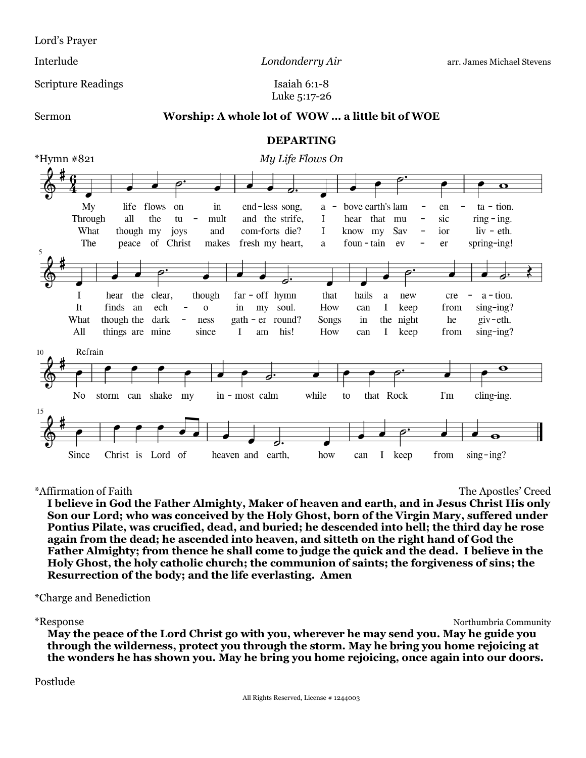Lord's Prayer

Interlude *Londonderry Air* arr. James Michael Stevens

Scripture Readings Isaiah 6:1-8

Luke 5:17-26

#### Sermon **Worship: A whole lot of WOW … a little bit of WOE**

#### **DEPARTING**



\*Affirmation of Faith The Apostles' Creed

**I believe in God the Father Almighty, Maker of heaven and earth, and in Jesus Christ His only Son our Lord; who was conceived by the Holy Ghost, born of the Virgin Mary, suffered under Pontius Pilate, was crucified, dead, and buried; he descended into hell; the third day he rose again from the dead; he ascended into heaven, and sitteth on the right hand of God the Father Almighty; from thence he shall come to judge the quick and the dead. I believe in the Holy Ghost, the holy catholic church; the communion of saints; the forgiveness of sins; the Resurrection of the body; and the life everlasting. Amen**

\*Charge and Benediction

\*Response Northumbria Community

**May the peace of the Lord Christ go with you, wherever he may send you. May he guide you through the wilderness, protect you through the storm. May he bring you home rejoicing at the wonders he has shown you. May he bring you home rejoicing, once again into our doors.**

#### Postlude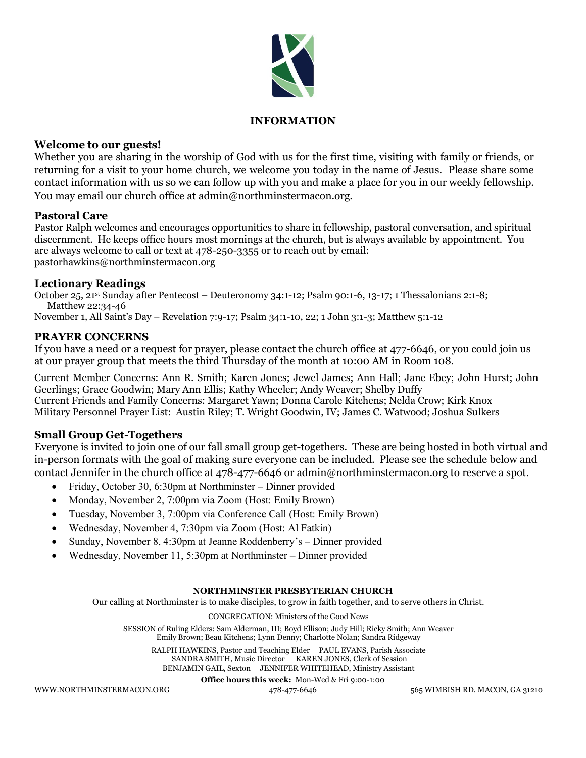

### **INFORMATION**

#### **Welcome to our guests!**

Whether you are sharing in the worship of God with us for the first time, visiting with family or friends, or returning for a visit to your home church, we welcome you today in the name of Jesus. Please share some contact information with us so we can follow up with you and make a place for you in our weekly fellowship. You may email our church office at admin@northminstermacon.org.

#### **Pastoral Care**

Pastor Ralph welcomes and encourages opportunities to share in fellowship, pastoral conversation, and spiritual discernment. He keeps office hours most mornings at the church, but is always available by appointment. You are always welcome to call or text at 478-250-3355 or to reach out by email: pastorhawkins@northminstermacon.org

#### **Lectionary Readings**

October 25, 21st Sunday after Pentecost – Deuteronomy 34:1-12; Psalm 90:1-6, 13-17; 1 Thessalonians 2:1-8; Matthew 22:34-46

November 1, All Saint's Day – Revelation 7:9-17; Psalm 34:1-10, 22; 1 John 3:1-3; Matthew 5:1-12

# **PRAYER CONCERNS**

If you have a need or a request for prayer, please contact the church office at 477-6646, or you could join us at our prayer group that meets the third Thursday of the month at 10:00 AM in Room 108.

Current Member Concerns: Ann R. Smith; Karen Jones; Jewel James; Ann Hall; Jane Ebey; John Hurst; John Geerlings; Grace Goodwin; Mary Ann Ellis; Kathy Wheeler; Andy Weaver; Shelby Duffy Current Friends and Family Concerns: Margaret Yawn; Donna Carole Kitchens; Nelda Crow; Kirk Knox Military Personnel Prayer List: Austin Riley; T. Wright Goodwin, IV; James C. Watwood; Joshua Sulkers

# **Small Group Get-Togethers**

Everyone is invited to join one of our fall small group get-togethers. These are being hosted in both virtual and in-person formats with the goal of making sure everyone can be included. Please see the schedule below and contact Jennifer in the church office at 478-477-6646 or admin@northminstermacon.org to reserve a spot.

- Friday, October 30, 6:30pm at Northminster Dinner provided
- Monday, November 2, 7:00pm via Zoom (Host: Emily Brown)
- Tuesday, November 3, 7:00pm via Conference Call (Host: Emily Brown)
- Wednesday, November 4, 7:30pm via Zoom (Host: Al Fatkin)
- Sunday, November 8, 4:30pm at Jeanne Roddenberry's Dinner provided
- Wednesday, November 11, 5:30pm at Northminster Dinner provided

#### **NORTHMINSTER PRESBYTERIAN CHURCH**

Our calling at Northminster is to make disciples, to grow in faith together, and to serve others in Christ.

#### CONGREGATION: Ministers of the Good News

SESSION of Ruling Elders: Sam Alderman, III; Boyd Ellison; Judy Hill; Ricky Smith; Ann Weaver Emily Brown; Beau Kitchens; Lynn Denny; Charlotte Nolan; Sandra Ridgeway

RALPH HAWKINS, Pastor and Teaching Elder PAUL EVANS, Parish Associate SANDRA SMITH, Music Director KAREN JONES, Clerk of Session BENJAMIN GAIL, Sexton JENNIFER WHITEHEAD, Ministry Assistant

WWW.NORTHMINSTERMACON.ORG 478-477-6646 565 WIMBISH RD. MACON, GA 31210

**Office hours this week:** Mon-Wed & Fri 9:00-1:00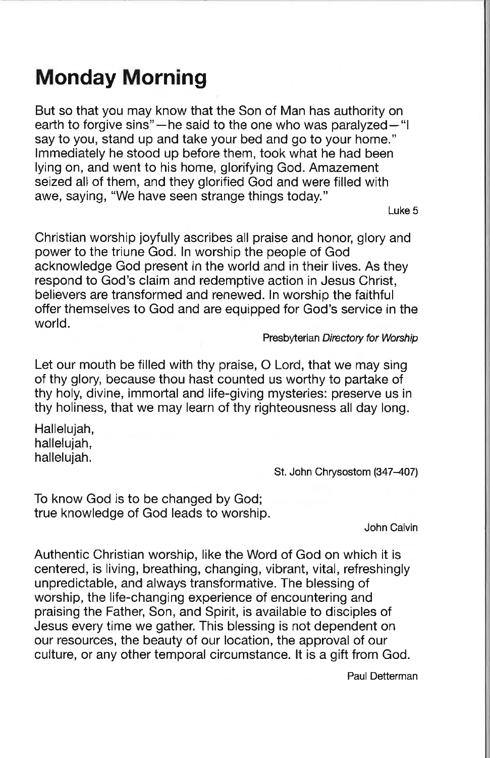# **Monday Morning**

But so that you may know that the Son of Man has authority on earth to forgive sins"—he said to the one who was paralyzed—"I say to you, stand up and take your bed and go to your home." Immediately he stood up before them, took what he had been lying on, and went to his home, glorifying God. Amazement seized all of them, and they glorified God and were filled with awe, saying, "We have seen strange things today."

Luke 5

Christian worship joyfully ascribes all praise and honor, glory and power to the triune God. In worship the people of God acknowledge God present in the world and in their lives. As they respond to God's claim and redemptive action in Jesus Christ, believers are transformed and renewed. In worship the faithful offer themselves to God and are equipped for God's service in the world.

Presbyterian Directory for Worship

Let our mouth be filled with thy praise, O Lord, that we may sing of thy glory, because thou hast counted us worthy to partake of thy holy, divine, immortal and life-giving mysteries: preserve us in thy holiness, that we may learn of thy righteousness all day long.

Hallelujah, hallelujah. hallelujah.

St. John Chrysostom (347-407)

To know God is to be changed by God; true knowledge of God leads to worship.

John Calvin

Authentic Christian worship, like the Word of God on which it is centered, is living, breathing, changing, vibrant, vital, refreshingly unpredictable, and always transformative. The blessing of worship, the life-changing experience of encountering and praising the Father, Son, and Spirit, is available to disciples of Jesus every time we gather. This blessing is not dependent on our resources, the beauty of our location, the approval of our culture, or any other temporal circumstance. It is a gift from God.

Paul Detterman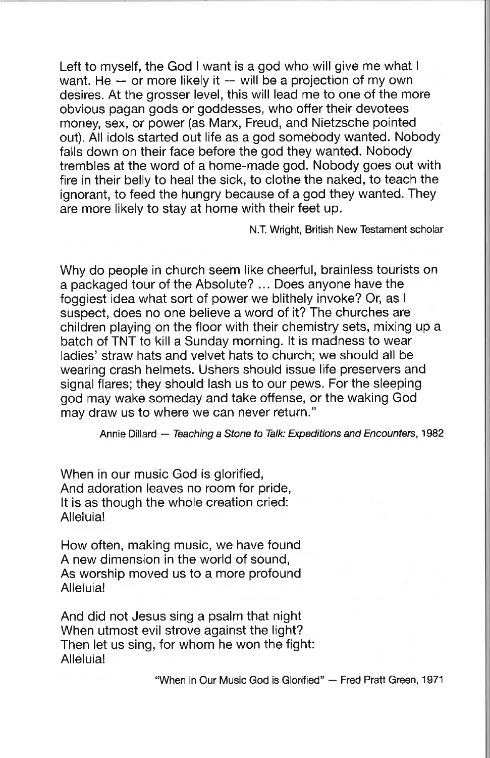Left to myself, the God I want is a god who will give me what I want. He  $-$  or more likely it  $-$  will be a projection of my own desires. At the grosser level, this will lead me to one of the more obvious pagan gods or goddesses, who offer their devotees money, sex, or power (as Marx, Freud, and Nietzsche pointed out). All idols started out life as a god somebody wanted. Nobody falls down on their face before the god they wanted. Nobody trembles at the word of a home-made god. Nobody goes out with fire in their belly to heal the sick, to clothe the naked, to teach the ignorant, to feed the hungry because of a god they wanted. They are more likely to stay at home with their feet up.

N.T. Wright, British New Testament scholar

Why do people in church seem like cheerful, brainless tourists on a packaged tour of the Absolute? ... Does anyone have the foggiest idea what sort of power we blithely invoke? Or. as I suspect, does no one believe a word of it? The churches are children playing on the floor with their chemistry sets, mixing up a batch of TNT to kill a Sunday morning. It is madness to wear ladies' straw hats and velvet hats to church; we should all be wearing crash helmets. Ushers should issue life preservers and signal flares; they should lash us to our pews. For the sleeping god may wake someday and take offense, or the waking God may draw us to where we can never return."

Annie Dillard - Teaching a Stone to Talk: Expeditions and Encounters, 1982

When in our music God is glorified, And adoration leaves no room for pride, It is as though the whole creation cried: Alleluia!

How often, making music, we have found A new dimension in the world of sound, As worship moved us to a more profound Alleluia!

And did not Jesus sing a psalm that night When utmost evil strove against the light? Then let us sing, for whom he won the fight: Alleluia!

"When in Our Music God is Glorified" - Fred Pratt Green, 1971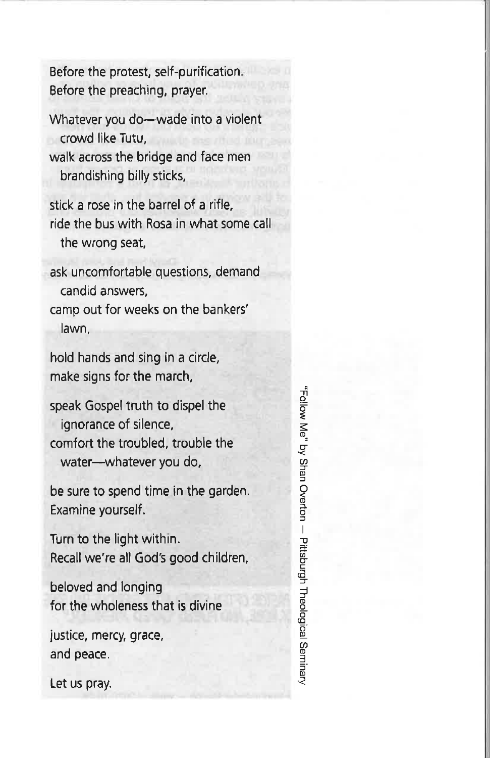Before the protest, self-purification. Before the preaching, prayer.

Whatever you do-wade into a violent crowd like Tutu. walk across the bridge and face men brandishing billy sticks,

stick a rose in the barrel of a rifle, ride the bus with Rosa in what some call the wrong seat,

ask uncomfortable questions, demand candid answers,

camp out for weeks on the bankers' lawn,

hold hands and sing in a circle, make signs for the march,

speak Gospel truth to dispel the ignorance of silence, comfort the troubled, trouble the water-whatever you do,

be sure to spend time in the garden. Examine yourself.

Turn to the light within. Recall we're all God's good children,

beloved and longing for the wholeness that is divine

justice, mercy, grace, and peace.

Let us pray.

Follow Me" by Shan Overton - Pittsburgh Theological Seminary